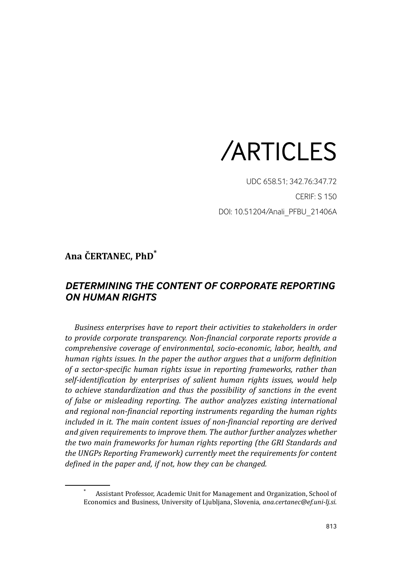

UDC 658.51; 342.76:347.72 CERIF: S 150 DOI: 10.51204/Anali\_PFBU\_21406A

## **Ana ČERTANEC, PhD\***

# *DETERMINING THE CONTENT OF CORPORATE REPORTING ON HUMAN RIGHTS*

*Business enterprises have to report their activities to stakeholders in order to provide corporate transparency. Non-financial corporate reports provide a comprehensive coverage of environmental, socio-economic, labor, health, and human rights issues. In the paper the author argues that a uniform definition of a sector-specific human rights issue in reporting frameworks, rather than self-identification by enterprises of salient human rights issues, would help to achieve standardization and thus the possibility of sanctions in the event of false or misleading reporting. The author analyzes existing international and regional non-financial reporting instruments regarding the human rights included in it. The main content issues of non-financial reporting are derived and given requirements to improve them. The author further analyzes whether the two main frameworks for human rights reporting (the GRI Standards and the UNGPs Reporting Framework) currently meet the requirements for content defined in the paper and, if not, how they can be changed.*

<sup>\*</sup> Assistant Professor, Academic Unit for Management and Organization, School of Economics and Business, University of Ljubljana, Slovenia, *ana.certanec@ef.uni-lj.si*.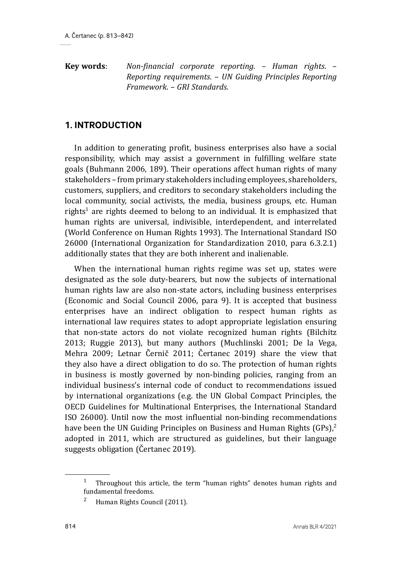**Key words**: *Non-financial corporate reporting*. – *Human rights*. – *Reporting requirements*. – *UN Guiding Principles Reporting Framework*. – *GRI Standards*.

### **1. INTRODUCTION**

In addition to generating profit, business enterprises also have a social responsibility, which may assist a government in fulfilling welfare state goals (Buhmann 2006, 189). Their operations affect human rights of many stakeholders – from primary stakeholders including employees, shareholders, customers, suppliers, and creditors to secondary stakeholders including the local community, social activists, the media, business groups, etc. Human rights<sup>1</sup> are rights deemed to belong to an individual. It is emphasized that human rights are universal, indivisible, interdependent, and interrelated (World Conference on Human Rights 1993). The International Standard ISO 26000 (International Organization for Standardization 2010, para 6.3.2.1) additionally states that they are both inherent and inalienable.

When the international human rights regime was set up, states were designated as the sole duty-bearers, but now the subjects of international human rights law are also non-state actors, including business enterprises (Economic and Social Council 2006, para 9). It is accepted that business enterprises have an indirect obligation to respect human rights as international law requires states to adopt appropriate legislation ensuring that non-state actors do not violate recognized human rights (Bilchitz 2013; Ruggie 2013), but many authors (Muchlinski 2001; De la Vega, Mehra 2009; Letnar Černič 2011; Čertanec 2019) share the view that they also have a direct obligation to do so. The protection of human rights in business is mostly governed by non-binding policies, ranging from an individual business's internal code of conduct to recommendations issued by international organizations (e.g. the UN Global Compact Principles, the OECD Guidelines for Multinational Enterprises, the International Standard ISO 26000). Until now the most influential non-binding recommendations have been the UN Guiding Principles on Business and Human Rights (GPs).<sup>2</sup> adopted in 2011, which are structured as guidelines, but their language suggests obligation (Čertanec 2019).

<sup>&</sup>lt;sup>1</sup> Throughout this article, the term "human rights" denotes human rights and fundamental freedoms.

<sup>2</sup> Human Rights Council (2011).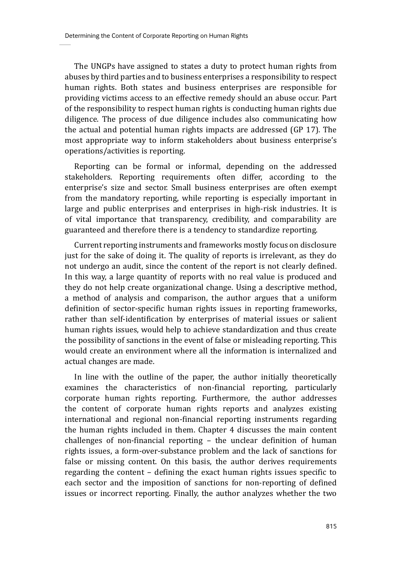The UNGPs have assigned to states a duty to protect human rights from abuses by third parties and to business enterprises a responsibility to respect human rights. Both states and business enterprises are responsible for providing victims access to an effective remedy should an abuse occur. Part of the responsibility to respect human rights is conducting human rights due diligence. The process of due diligence includes also communicating how the actual and potential human rights impacts are addressed (GP 17). The most appropriate way to inform stakeholders about business enterprise's operations/activities is reporting.

Reporting can be formal or informal, depending on the addressed stakeholders. Reporting requirements often differ, according to the enterprise's size and sector. Small business enterprises are often exempt from the mandatory reporting, while reporting is especially important in large and public enterprises and enterprises in high-risk industries. It is of vital importance that transparency, credibility, and comparability are guaranteed and therefore there is a tendency to standardize reporting.

Current reporting instruments and frameworks mostly focus on disclosure just for the sake of doing it. The quality of reports is irrelevant, as they do not undergo an audit, since the content of the report is not clearly defined. In this way, a large quantity of reports with no real value is produced and they do not help create organizational change. Using a descriptive method, a method of analysis and comparison, the author argues that a uniform definition of sector-specific human rights issues in reporting frameworks, rather than self-identification by enterprises of material issues or salient human rights issues, would help to achieve standardization and thus create the possibility of sanctions in the event of false or misleading reporting. This would create an environment where all the information is internalized and actual changes are made.

In line with the outline of the paper, the author initially theoretically examines the characteristics of non-financial reporting, particularly corporate human rights reporting. Furthermore, the author addresses the content of corporate human rights reports and analyzes existing international and regional non-financial reporting instruments regarding the human rights included in them. Chapter 4 discusses the main content challenges of non-financial reporting – the unclear definition of human rights issues, a form-over-substance problem and the lack of sanctions for false or missing content. On this basis, the author derives requirements regarding the content – defining the exact human rights issues specific to each sector and the imposition of sanctions for non-reporting of defined issues or incorrect reporting. Finally, the author analyzes whether the two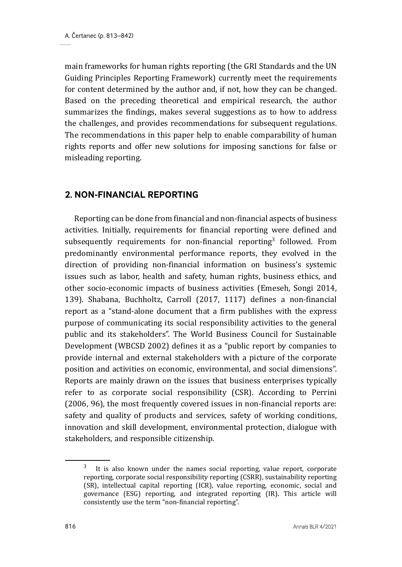main frameworks for human rights reporting (the GRI Standards and the UN Guiding Principles Reporting Framework) currently meet the requirements for content determined by the author and, if not, how they can be changed. Based on the preceding theoretical and empirical research, the author summarizes the findings, makes several suggestions as to how to address the challenges, and provides recommendations for subsequent regulations. The recommendations in this paper help to enable comparability of human rights reports and offer new solutions for imposing sanctions for false or misleading reporting.

### **2. NON-FINANCIAL REPORTING**

Reporting can be done from financial and non-financial aspects of business activities. Initially, requirements for financial reporting were defined and subsequently requirements for non-financial reporting<sup>3</sup> followed. From predominantly environmental performance reports, they evolved in the direction of providing non-financial information on business's systemic issues such as labor, health and safety, human rights, business ethics, and other socio-economic impacts of business activities (Emeseh, Songi 2014, 139). Shabana, Buchholtz, Carroll (2017, 1117) defines a non-financial report as a "stand-alone document that a firm publishes with the express purpose of communicating its social responsibility activities to the general public and its stakeholders". The World Business Council for Sustainable Development (WBCSD 2002) defines it as a "public report by companies to provide internal and external stakeholders with a picture of the corporate position and activities on economic, environmental, and social dimensions". Reports are mainly drawn on the issues that business enterprises typically refer to as corporate social responsibility (CSR). According to Perrini (2006, 96), the most frequently covered issues in non-financial reports are: safety and quality of products and services, safety of working conditions, innovation and skill development, environmental protection, dialogue with stakeholders, and responsible citizenship.

It is also known under the names social reporting, value report, corporate reporting, corporate social responsibility reporting (CSRR), sustainability reporting (SR), intellectual capital reporting (ICR), value reporting, economic, social and governance (ESG) reporting, and integrated reporting (IR). This article will consistently use the term "non-financial reporting".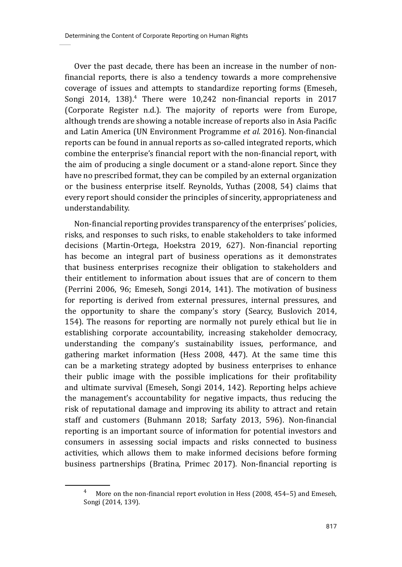Over the past decade, there has been an increase in the number of nonfinancial reports, there is also a tendency towards a more comprehensive coverage of issues and attempts to standardize reporting forms (Emeseh, Songi 2014, 138).<sup>4</sup> There were 10,242 non-financial reports in 2017 (Corporate Register n.d.). The majority of reports were from Europe, although trends are showing a notable increase of reports also in Asia Pacific and Latin America (UN Environment Programme *et al.* 2016). Non-financial reports can be found in annual reports as so-called integrated reports, which combine the enterprise's financial report with the non-financial report, with the aim of producing a single document or a stand-alone report. Since they have no prescribed format, they can be compiled by an external organization or the business enterprise itself. Reynolds, Yuthas (2008, 54) claims that every report should consider the principles of sincerity, appropriateness and understandability.

Non-financial reporting provides transparency of the enterprises' policies, risks, and responses to such risks, to enable stakeholders to take informed decisions (Martin-Ortega, Hoekstra 2019, 627). Non-financial reporting has become an integral part of business operations as it demonstrates that business enterprises recognize their obligation to stakeholders and their entitlement to information about issues that are of concern to them (Perrini 2006, 96; Emeseh, Songi 2014, 141). The motivation of business for reporting is derived from external pressures, internal pressures, and the opportunity to share the company's story (Searcy, Buslovich 2014, 154). The reasons for reporting are normally not purely ethical but lie in establishing corporate accountability, increasing stakeholder democracy, understanding the company's sustainability issues, performance, and gathering market information (Hess 2008, 447). At the same time this can be a marketing strategy adopted by business enterprises to enhance their public image with the possible implications for their profitability and ultimate survival (Emeseh, Songi 2014, 142). Reporting helps achieve the management's accountability for negative impacts, thus reducing the risk of reputational damage and improving its ability to attract and retain staff and customers (Buhmann 2018; Sarfaty 2013, 596). Non-financial reporting is an important source of information for potential investors and consumers in assessing social impacts and risks connected to business activities, which allows them to make informed decisions before forming business partnerships (Bratina, Primec 2017). Non-financial reporting is

More on the non-financial report evolution in Hess (2008, 454–5) and Emeseh, Songi (2014, 139).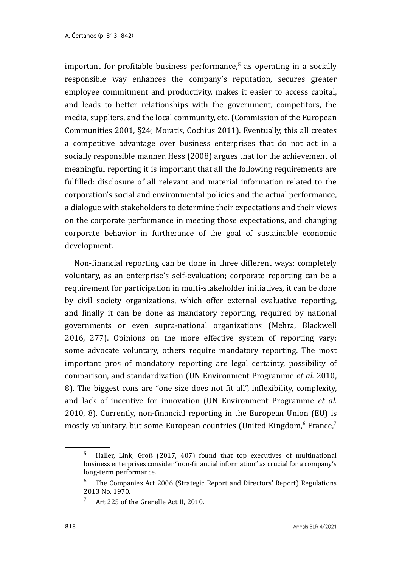important for profitable business performance.<sup>5</sup> as operating in a socially responsible way enhances the company's reputation, secures greater employee commitment and productivity, makes it easier to access capital, and leads to better relationships with the government, competitors, the media, suppliers, and the local community, etc. (Commission of the European Communities 2001, §24; Moratis, Cochius 2011). Eventually, this all creates a competitive advantage over business enterprises that do not act in a socially responsible manner. Hess (2008) argues that for the achievement of meaningful reporting it is important that all the following requirements are fulfilled: disclosure of all relevant and material information related to the corporation's social and environmental policies and the actual performance, a dialogue with stakeholders to determine their expectations and their views on the corporate performance in meeting those expectations, and changing corporate behavior in furtherance of the goal of sustainable economic development.

Non-financial reporting can be done in three different ways: completely voluntary, as an enterprise's self-evaluation; corporate reporting can be a requirement for participation in multi-stakeholder initiatives, it can be done by civil society organizations, which offer external evaluative reporting, and finally it can be done as mandatory reporting, required by national governments or even supra-national organizations (Mehra, Blackwell 2016, 277). Opinions on the more effective system of reporting vary: some advocate voluntary, others require mandatory reporting. The most important pros of mandatory reporting are legal certainty, possibility of comparison, and standardization (UN Environment Programme *et al.* 2010, 8). The biggest cons are "one size does not fit all", inflexibility, complexity, and lack of incentive for innovation (UN Environment Programme *et al.* 2010, 8). Currently, non-financial reporting in the European Union (EU) is mostly voluntary, but some European countries (United Kingdom, $6$  France, $7$ 

<sup>5</sup> Haller, Link, Groß (2017, 407) found that top executives of multinational business enterprises consider "non-financial information" as crucial for a company's long-term performance.

 $6$  The Companies Act 2006 (Strategic Report and Directors' Report) Regulations 2013 No. 1970.

<sup>&</sup>lt;sup>7</sup> Art 225 of the Grenelle Act II, 2010.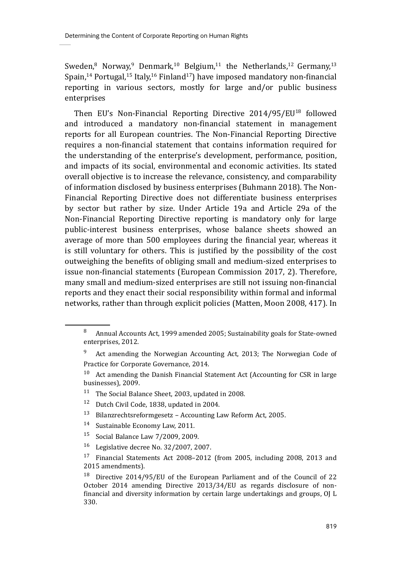Sweden,<sup>8</sup> Norway,<sup>9</sup> Denmark,<sup>10</sup> Belgium,<sup>11</sup> the Netherlands,<sup>12</sup> Germany,<sup>13</sup> Spain,<sup>14</sup> Portugal,<sup>15</sup> Italy,<sup>16</sup> Finland<sup>17</sup>) have imposed mandatory non-financial reporting in various sectors, mostly for large and/or public business enterprises

Then EU's Non-Financial Reporting Directive 2014/95/EU18 followed and introduced a mandatory non-financial statement in management reports for all European countries. The Non-Financial Reporting Directive requires a non-financial statement that contains information required for the understanding of the enterprise's development, performance, position, and impacts of its social, environmental and economic activities. Its stated overall objective is to increase the relevance, consistency, and comparability of information disclosed by business enterprises (Buhmann 2018). The Non-Financial Reporting Directive does not differentiate business enterprises by sector but rather by size. Under Article 19a and Article 29a of the Non-Financial Reporting Directive reporting is mandatory only for large public-interest business enterprises, whose balance sheets showed an average of more than 500 employees during the financial year, whereas it is still voluntary for others. This is justified by the possibility of the cost outweighing the benefits of obliging small and medium-sized enterprises to issue non-financial statements (European Commission 2017, 2). Therefore, many small and medium-sized enterprises are still not issuing non-financial reports and they enact their social responsibility within formal and informal networks, rather than through explicit policies (Matten, Moon 2008, 417). In

<sup>11</sup> The Social Balance Sheet, 2003, updated in 2008.

- 13 Bilanzrechtsreformgesetz Accounting Law Reform Act, 2005.
- 14 Sustainable Economy Law, 2011*.*
- 15 Social Balance Law 7/2009, 2009.
- 16 Legislative decree No. 32/2007, 2007.

<sup>8</sup> Annual Accounts Act, 1999 amended 2005; Sustainability goals for State-owned enterprises, 2012.

<sup>&</sup>lt;sup>9</sup> Act amending the Norwegian Accounting Act, 2013; The Norwegian Code of Practice for Corporate Governance, 2014.

 $10$  Act amending the Danish Financial Statement Act (Accounting for CSR in large businesses), 2009.

<sup>&</sup>lt;sup>12</sup> Dutch Civil Code, 1838, updated in 2004.

<sup>17</sup> Financial Statements Act 2008–2012 (from 2005, including 2008, 2013 and 2015 amendments).

<sup>18</sup> Directive 2014/95/EU of the European Parliament and of the Council of 22 October 2014 amending Directive 2013/34/EU as regards disclosure of nonfinancial and diversity information by certain large undertakings and groups, OJ L 330.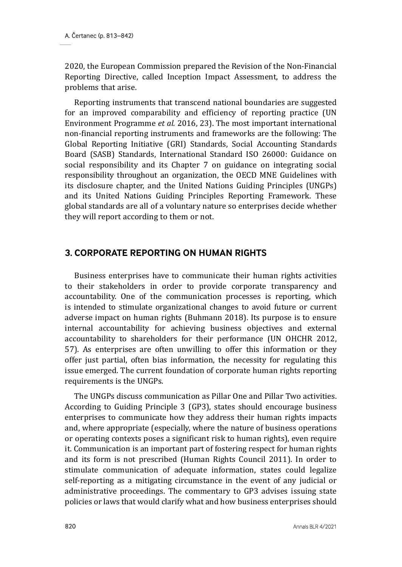2020, the European Commission prepared the Revision of the Non-Financial Reporting Directive, called Inception Impact Assessment, to address the problems that arise.

Reporting instruments that transcend national boundaries are suggested for an improved comparability and efficiency of reporting practice (UN Environment Programme *et al.* 2016, 23). The most important international non-financial reporting instruments and frameworks are the following: The Global Reporting Initiative (GRI) Standards, Social Accounting Standards Board (SASB) Standards, International Standard ISO 26000: Guidance on social responsibility and its Chapter 7 on guidance on integrating social responsibility throughout an organization, the OECD MNE Guidelines with its disclosure chapter, and the United Nations Guiding Principles (UNGPs) and its United Nations Guiding Principles Reporting Framework. These global standards are all of a voluntary nature so enterprises decide whether they will report according to them or not.

### **3. CORPORATE REPORTING ON HUMAN RIGHTS**

Business enterprises have to communicate their human rights activities to their stakeholders in order to provide corporate transparency and accountability. One of the communication processes is reporting, which is intended to stimulate organizational changes to avoid future or current adverse impact on human rights (Buhmann 2018). Its purpose is to ensure internal accountability for achieving business objectives and external accountability to shareholders for their performance (UN OHCHR 2012, 57). As enterprises are often unwilling to offer this information or they offer just partial, often bias information, the necessity for regulating this issue emerged. The current foundation of corporate human rights reporting requirements is the UNGPs.

The UNGPs discuss communication as Pillar One and Pillar Two activities. According to Guiding Principle 3 (GP3), states should encourage business enterprises to communicate how they address their human rights impacts and, where appropriate (especially, where the nature of business operations or operating contexts poses a significant risk to human rights), even require it. Communication is an important part of fostering respect for human rights and its form is not prescribed (Human Rights Council 2011). In order to stimulate communication of adequate information, states could legalize self-reporting as a mitigating circumstance in the event of any judicial or administrative proceedings. The commentary to GP3 advises issuing state policies or laws that would clarify what and how business enterprises should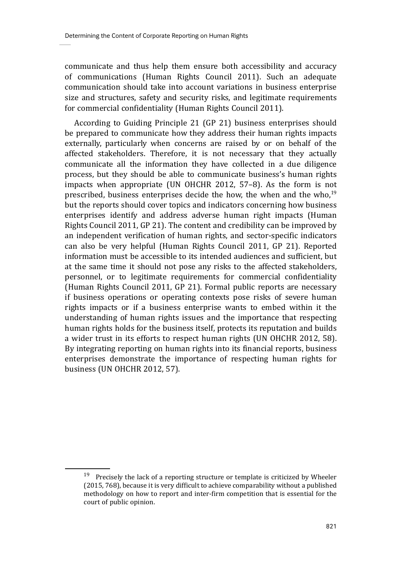communicate and thus help them ensure both accessibility and accuracy of communications (Human Rights Council 2011). Such an adequate communication should take into account variations in business enterprise size and structures, safety and security risks, and legitimate requirements for commercial confidentiality (Human Rights Council 2011).

According to Guiding Principle 21 (GP 21) business enterprises should be prepared to communicate how they address their human rights impacts externally, particularly when concerns are raised by or on behalf of the affected stakeholders. Therefore, it is not necessary that they actually communicate all the information they have collected in a due diligence process, but they should be able to communicate business's human rights impacts when appropriate (UN OHCHR 2012, 57–8). As the form is not prescribed, business enterprises decide the how, the when and the who,19 but the reports should cover topics and indicators concerning how business enterprises identify and address adverse human right impacts (Human Rights Council 2011, GP 21). The content and credibility can be improved by an independent verification of human rights, and sector-specific indicators can also be very helpful (Human Rights Council 2011, GP 21). Reported information must be accessible to its intended audiences and sufficient, but at the same time it should not pose any risks to the affected stakeholders, personnel, or to legitimate requirements for commercial confidentiality (Human Rights Council 2011, GP 21). Formal public reports are necessary if business operations or operating contexts pose risks of severe human rights impacts or if a business enterprise wants to embed within it the understanding of human rights issues and the importance that respecting human rights holds for the business itself, protects its reputation and builds a wider trust in its efforts to respect human rights (UN OHCHR 2012, 58). By integrating reporting on human rights into its financial reports, business enterprises demonstrate the importance of respecting human rights for business (UN OHCHR 2012, 57).

 $19$  Precisely the lack of a reporting structure or template is criticized by Wheeler (2015, 768), because it is very difficult to achieve comparability without a published methodology on how to report and inter-firm competition that is essential for the court of public opinion.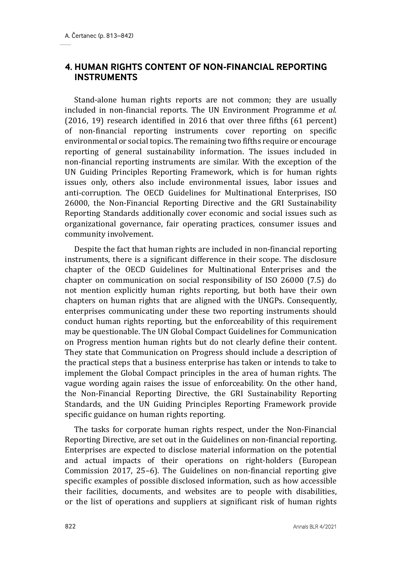### **4. HUMAN RIGHTS CONTENT OF NON-FINANCIAL REPORTING INSTRUMENTS**

Stand-alone human rights reports are not common; they are usually included in non-financial reports. The UN Environment Programme *et al.* (2016, 19) research identified in 2016 that over three fifths (61 percent) of non-financial reporting instruments cover reporting on specific environmental or social topics. The remaining two fifths require or encourage reporting of general sustainability information. The issues included in non-financial reporting instruments are similar. With the exception of the UN Guiding Principles Reporting Framework, which is for human rights issues only, others also include environmental issues, labor issues and anti-corruption. The OECD Guidelines for Multinational Enterprises, ISO 26000, the Non-Financial Reporting Directive and the GRI Sustainability Reporting Standards additionally cover economic and social issues such as organizational governance, fair operating practices, consumer issues and community involvement.

Despite the fact that human rights are included in non-financial reporting instruments, there is a significant difference in their scope. The disclosure chapter of the OECD Guidelines for Multinational Enterprises and the chapter on communication on social responsibility of ISO 26000 (7.5) do not mention explicitly human rights reporting, but both have their own chapters on human rights that are aligned with the UNGPs. Consequently, enterprises communicating under these two reporting instruments should conduct human rights reporting, but the enforceability of this requirement may be questionable. The UN Global Compact Guidelines for Communication on Progress mention human rights but do not clearly define their content. They state that Communication on Progress should include a description of the practical steps that a business enterprise has taken or intends to take to implement the Global Compact principles in the area of human rights. The vague wording again raises the issue of enforceability. On the other hand, the Non-Financial Reporting Directive, the GRI Sustainability Reporting Standards, and the UN Guiding Principles Reporting Framework provide specific guidance on human rights reporting.

The tasks for corporate human rights respect, under the Non-Financial Reporting Directive, are set out in the Guidelines on non-financial reporting. Enterprises are expected to disclose material information on the potential and actual impacts of their operations on right-holders (European Commission 2017, 25–6). The Guidelines on non-financial reporting give specific examples of possible disclosed information, such as how accessible their facilities, documents, and websites are to people with disabilities, or the list of operations and suppliers at significant risk of human rights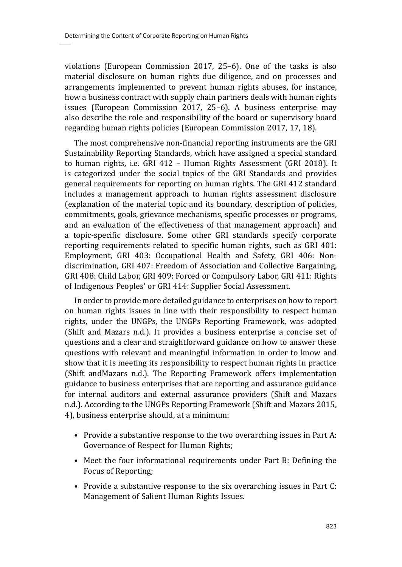violations (European Commission 2017, 25–6). One of the tasks is also material disclosure on human rights due diligence, and on processes and arrangements implemented to prevent human rights abuses, for instance, how a business contract with supply chain partners deals with human rights issues (European Commission 2017, 25–6). A business enterprise may also describe the role and responsibility of the board or supervisory board regarding human rights policies (European Commission 2017, 17, 18).

The most comprehensive non-financial reporting instruments are the GRI Sustainability Reporting Standards, which have assigned a special standard to human rights, i.e. GRI 412 – Human Rights Assessment (GRI 2018). It is categorized under the social topics of the GRI Standards and provides general requirements for reporting on human rights. The GRI 412 standard includes a management approach to human rights assessment disclosure (explanation of the material topic and its boundary, description of policies, commitments, goals, grievance mechanisms, specific processes or programs, and an evaluation of the effectiveness of that management approach) and a topic-specific disclosure. Some other GRI standards specify corporate reporting requirements related to specific human rights, such as GRI 401: Employment, GRI 403: Occupational Health and Safety, GRI 406: Nondiscrimination, GRI 407: Freedom of Association and Collective Bargaining, GRI 408: Child Labor, GRI 409: Forced or Compulsory Labor, GRI 411: Rights of Indigenous Peoples' or GRI 414: Supplier Social Assessment.

In order to provide more detailed guidance to enterprises on how to report on human rights issues in line with their responsibility to respect human rights, under the UNGPs, the UNGPs Reporting Framework, was adopted (Shift and Mazars n.d.). It provides a business enterprise a concise set of questions and a clear and straightforward guidance on how to answer these questions with relevant and meaningful information in order to know and show that it is meeting its responsibility to respect human rights in practice (Shift andMazars n.d.). The Reporting Framework offers implementation guidance to business enterprises that are reporting and assurance guidance for internal auditors and external assurance providers (Shift and Mazars n.d.). According to the UNGPs Reporting Framework (Shift and Mazars 2015, 4), business enterprise should, at a minimum:

- Provide a substantive response to the two overarching issues in Part A: Governance of Respect for Human Rights;
- Meet the four informational requirements under Part B: Defining the Focus of Reporting;
- Provide a substantive response to the six overarching issues in Part C: Management of Salient Human Rights Issues.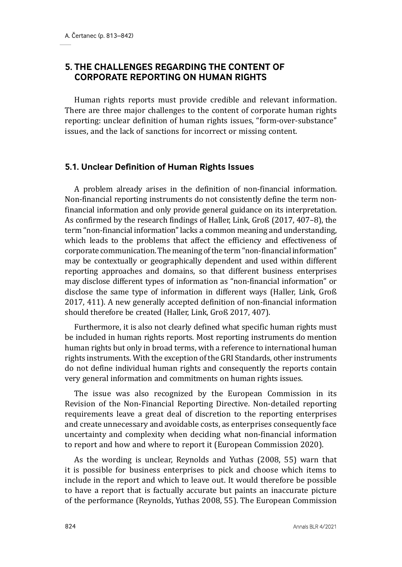### **5. THE CHALLENGES REGARDING THE CONTENT OF CORPORATE REPORTING ON HUMAN RIGHTS**

Human rights reports must provide credible and relevant information. There are three major challenges to the content of corporate human rights reporting: unclear definition of human rights issues, "form-over-substance" issues, and the lack of sanctions for incorrect or missing content.

#### **5.1. Unclear Definition of Human Rights Issues**

A problem already arises in the definition of non-financial information. Non-financial reporting instruments do not consistently define the term nonfinancial information and only provide general guidance on its interpretation. As confirmed by the research findings of Haller, Link, Groß (2017, 407–8), the term "non-financial information" lacks a common meaning and understanding, which leads to the problems that affect the efficiency and effectiveness of corporate communication. The meaning of the term "non-financial information" may be contextually or geographically dependent and used within different reporting approaches and domains, so that different business enterprises may disclose different types of information as "non-financial information" or disclose the same type of information in different ways (Haller, Link, Groß 2017, 411). A new generally accepted definition of non-financial information should therefore be created (Haller, Link, Groß 2017, 407).

Furthermore, it is also not clearly defined what specific human rights must be included in human rights reports. Most reporting instruments do mention human rights but only in broad terms, with a reference to international human rights instruments. With the exception of the GRI Standards, other instruments do not define individual human rights and consequently the reports contain very general information and commitments on human rights issues.

The issue was also recognized by the European Commission in its Revision of the Non-Financial Reporting Directive. Non-detailed reporting requirements leave a great deal of discretion to the reporting enterprises and create unnecessary and avoidable costs, as enterprises consequently face uncertainty and complexity when deciding what non-financial information to report and how and where to report it (European Commission 2020).

As the wording is unclear, Reynolds and Yuthas (2008, 55) warn that it is possible for business enterprises to pick and choose which items to include in the report and which to leave out. It would therefore be possible to have a report that is factually accurate but paints an inaccurate picture of the performance (Reynolds, Yuthas 2008, 55). The European Commission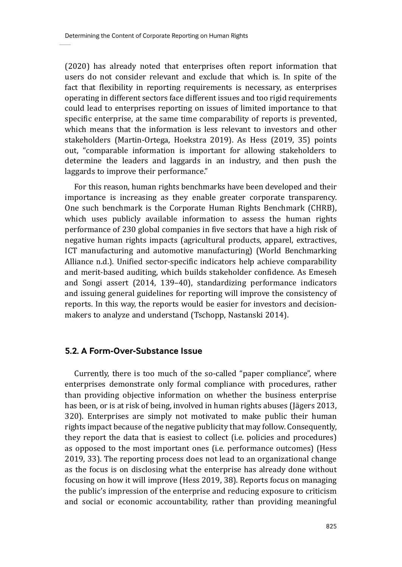(2020) has already noted that enterprises often report information that users do not consider relevant and exclude that which is. In spite of the fact that flexibility in reporting requirements is necessary, as enterprises operating in different sectors face different issues and too rigid requirements could lead to enterprises reporting on issues of limited importance to that specific enterprise, at the same time comparability of reports is prevented, which means that the information is less relevant to investors and other stakeholders (Martin-Ortega, Hoekstra 2019). As Hess (2019, 35) points out, "comparable information is important for allowing stakeholders to determine the leaders and laggards in an industry, and then push the laggards to improve their performance."

For this reason, human rights benchmarks have been developed and their importance is increasing as they enable greater corporate transparency. One such benchmark is the Corporate Human Rights Benchmark (CHRB), which uses publicly available information to assess the human rights performance of 230 global companies in five sectors that have a high risk of negative human rights impacts (agricultural products, apparel, extractives, ICT manufacturing and automotive manufacturing) (World Benchmarking Alliance n.d.). Unified sector-specific indicators help achieve comparability and merit-based auditing, which builds stakeholder confidence. As Emeseh and Songi assert (2014, 139–40), standardizing performance indicators and issuing general guidelines for reporting will improve the consistency of reports. In this way, the reports would be easier for investors and decisionmakers to analyze and understand (Tschopp, Nastanski 2014).

#### **5.2. A Form-Over-Substance Issue**

Currently, there is too much of the so-called "paper compliance", where enterprises demonstrate only formal compliance with procedures, rather than providing objective information on whether the business enterprise has been, or is at risk of being, involved in human rights abuses (Jägers 2013, 320). Enterprises are simply not motivated to make public their human rights impact because of the negative publicity that may follow. Consequently, they report the data that is easiest to collect (i.e. policies and procedures) as opposed to the most important ones (i.e. performance outcomes) (Hess 2019, 33). The reporting process does not lead to an organizational change as the focus is on disclosing what the enterprise has already done without focusing on how it will improve (Hess 2019, 38). Reports focus on managing the public's impression of the enterprise and reducing exposure to criticism and social or economic accountability, rather than providing meaningful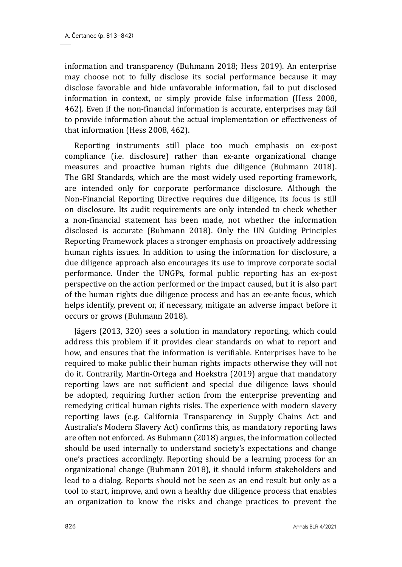information and transparency (Buhmann 2018; Hess 2019). An enterprise may choose not to fully disclose its social performance because it may disclose favorable and hide unfavorable information, fail to put disclosed information in context, or simply provide false information (Hess 2008, 462). Even if the non-financial information is accurate, enterprises may fail to provide information about the actual implementation or effectiveness of that information (Hess 2008, 462).

Reporting instruments still place too much emphasis on ex-post compliance (i.e. disclosure) rather than ex-ante organizational change measures and proactive human rights due diligence (Buhmann 2018). The GRI Standards, which are the most widely used reporting framework, are intended only for corporate performance disclosure. Although the Non-Financial Reporting Directive requires due diligence, its focus is still on disclosure. Its audit requirements are only intended to check whether a non-financial statement has been made, not whether the information disclosed is accurate (Buhmann 2018). Only the UN Guiding Principles Reporting Framework places a stronger emphasis on proactively addressing human rights issues. In addition to using the information for disclosure, a due diligence approach also encourages its use to improve corporate social performance. Under the UNGPs, formal public reporting has an ex-post perspective on the action performed or the impact caused, but it is also part of the human rights due diligence process and has an ex-ante focus, which helps identify, prevent or, if necessary, mitigate an adverse impact before it occurs or grows (Buhmann 2018).

Jägers (2013, 320) sees a solution in mandatory reporting, which could address this problem if it provides clear standards on what to report and how, and ensures that the information is verifiable. Enterprises have to be required to make public their human rights impacts otherwise they will not do it. Contrarily, Martin-Ortega and Hoekstra (2019) argue that mandatory reporting laws are not sufficient and special due diligence laws should be adopted, requiring further action from the enterprise preventing and remedying critical human rights risks. The experience with modern slavery reporting laws (e.g. California Transparency in Supply Chains Act and Australia's Modern Slavery Act) confirms this, as mandatory reporting laws are often not enforced. As Buhmann (2018) argues, the information collected should be used internally to understand society's expectations and change one's practices accordingly. Reporting should be a learning process for an organizational change (Buhmann 2018), it should inform stakeholders and lead to a dialog. Reports should not be seen as an end result but only as a tool to start, improve, and own a healthy due diligence process that enables an organization to know the risks and change practices to prevent the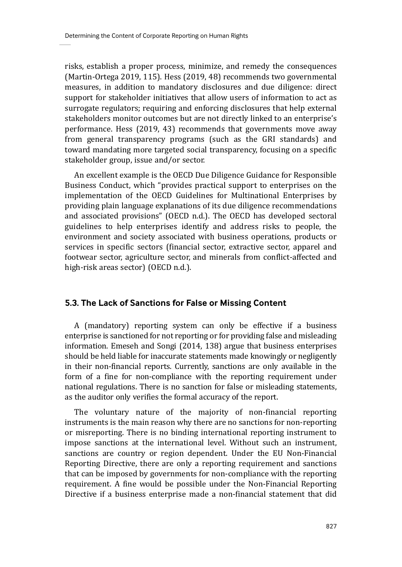risks, establish a proper process, minimize, and remedy the consequences (Martin-Ortega 2019, 115). Hess (2019, 48) recommends two governmental measures, in addition to mandatory disclosures and due diligence: direct support for stakeholder initiatives that allow users of information to act as surrogate regulators; requiring and enforcing disclosures that help external stakeholders monitor outcomes but are not directly linked to an enterprise's performance. Hess (2019, 43) recommends that governments move away from general transparency programs (such as the GRI standards) and toward mandating more targeted social transparency, focusing on a specific stakeholder group, issue and/or sector.

An excellent example is the OECD Due Diligence Guidance for Responsible Business Conduct, which "provides practical support to enterprises on the implementation of the OECD Guidelines for Multinational Enterprises by providing plain language explanations of its due diligence recommendations and associated provisions" (OECD n.d.). The OECD has developed sectoral guidelines to help enterprises identify and address risks to people, the environment and society associated with business operations, products or services in specific sectors (financial sector, extractive sector, apparel and footwear sector, agriculture sector, and minerals from conflict-affected and high-risk areas sector) (OECD n.d.).

#### **5.3. The Lack of Sanctions for False or Missing Content**

A (mandatory) reporting system can only be effective if a business enterprise is sanctioned for not reporting or for providing false and misleading information. Emeseh and Songi (2014, 138) argue that business enterprises should be held liable for inaccurate statements made knowingly or negligently in their non-financial reports. Currently, sanctions are only available in the form of a fine for non-compliance with the reporting requirement under national regulations. There is no sanction for false or misleading statements, as the auditor only verifies the formal accuracy of the report.

The voluntary nature of the majority of non-financial reporting instruments is the main reason why there are no sanctions for non-reporting or misreporting. There is no binding international reporting instrument to impose sanctions at the international level. Without such an instrument, sanctions are country or region dependent. Under the EU Non-Financial Reporting Directive, there are only a reporting requirement and sanctions that can be imposed by governments for non-compliance with the reporting requirement. A fine would be possible under the Non-Financial Reporting Directive if a business enterprise made a non-financial statement that did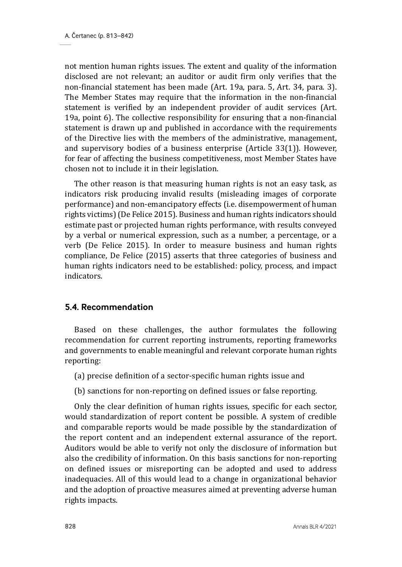not mention human rights issues. The extent and quality of the information disclosed are not relevant; an auditor or audit firm only verifies that the non-financial statement has been made (Art. 19a, para. 5, Art. 34, para. 3). The Member States may require that the information in the non-financial statement is verified by an independent provider of audit services (Art. 19a, point 6). The collective responsibility for ensuring that a non-financial statement is drawn up and published in accordance with the requirements of the Directive lies with the members of the administrative, management, and supervisory bodies of a business enterprise (Article 33(1)). However, for fear of affecting the business competitiveness, most Member States have chosen not to include it in their legislation.

The other reason is that measuring human rights is not an easy task, as indicators risk producing invalid results (misleading images of corporate performance) and non-emancipatory effects (i.e. disempowerment of human rights victims) (De Felice 2015). Business and human rights indicators should estimate past or projected human rights performance, with results conveyed by a verbal or numerical expression, such as a number, a percentage, or a verb (De Felice 2015). In order to measure business and human rights compliance, De Felice (2015) asserts that three categories of business and human rights indicators need to be established: policy, process, and impact indicators.

#### **5.4. Recommendation**

Based on these challenges, the author formulates the following recommendation for current reporting instruments, reporting frameworks and governments to enable meaningful and relevant corporate human rights reporting:

- (a) precise definition of a sector-specific human rights issue and
- (b) sanctions for non-reporting on defined issues or false reporting.

Only the clear definition of human rights issues, specific for each sector, would standardization of report content be possible. A system of credible and comparable reports would be made possible by the standardization of the report content and an independent external assurance of the report. Auditors would be able to verify not only the disclosure of information but also the credibility of information. On this basis sanctions for non-reporting on defined issues or misreporting can be adopted and used to address inadequacies. All of this would lead to a change in organizational behavior and the adoption of proactive measures aimed at preventing adverse human rights impacts.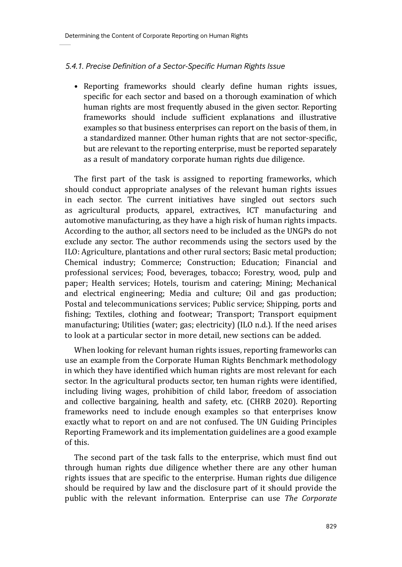#### *5.4.1. Precise Definition of a Sector-Specific Human Rights Issue*

• Reporting frameworks should clearly define human rights issues, specific for each sector and based on a thorough examination of which human rights are most frequently abused in the given sector. Reporting frameworks should include sufficient explanations and illustrative examples so that business enterprises can report on the basis of them, in a standardized manner. Other human rights that are not sector-specific, but are relevant to the reporting enterprise, must be reported separately as a result of mandatory corporate human rights due diligence.

The first part of the task is assigned to reporting frameworks, which should conduct appropriate analyses of the relevant human rights issues in each sector. The current initiatives have singled out sectors such as agricultural products, apparel, extractives, ICT manufacturing and automotive manufacturing, as they have a high risk of human rights impacts. According to the author, all sectors need to be included as the UNGPs do not exclude any sector. The author recommends using the sectors used by the ILO: Agriculture, plantations and other rural sectors; Basic metal production; Chemical industry; Commerce; Construction; Education; Financial and professional services; Food, beverages, tobacco; Forestry, wood, pulp and paper; Health services; Hotels, tourism and catering; Mining; Mechanical and electrical engineering; Media and culture; Oil and gas production; Postal and telecommunications services; Public service; Shipping, ports and fishing; Textiles, clothing and footwear; Transport; Transport equipment manufacturing; Utilities (water; gas; electricity) (ILO n.d.). If the need arises to look at a particular sector in more detail, new sections can be added.

When looking for relevant human rights issues, reporting frameworks can use an example from the Corporate Human Rights Benchmark methodology in which they have identified which human rights are most relevant for each sector. In the agricultural products sector, ten human rights were identified, including living wages, prohibition of child labor, freedom of association and collective bargaining, health and safety, etc. (CHRB 2020). Reporting frameworks need to include enough examples so that enterprises know exactly what to report on and are not confused. The UN Guiding Principles Reporting Framework and its implementation guidelines are a good example of this.

The second part of the task falls to the enterprise, which must find out through human rights due diligence whether there are any other human rights issues that are specific to the enterprise. Human rights due diligence should be required by law and the disclosure part of it should provide the public with the relevant information. Enterprise can use *The Corporate*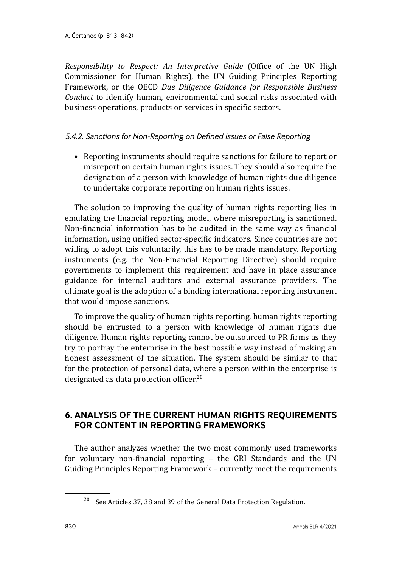*Responsibility to Respect: An Interpretive Guide* (Office of the UN High Commissioner for Human Rights), the UN Guiding Principles Reporting Framework, or the OECD *Due Diligence Guidance for Responsible Business Conduct* to identify human, environmental and social risks associated with business operations, products or services in specific sectors.

### *5.4.2. Sanctions for Non-Reporting on Defined Issues or False Reporting*

• Reporting instruments should require sanctions for failure to report or misreport on certain human rights issues. They should also require the designation of a person with knowledge of human rights due diligence to undertake corporate reporting on human rights issues.

The solution to improving the quality of human rights reporting lies in emulating the financial reporting model, where misreporting is sanctioned. Non-financial information has to be audited in the same way as financial information, using unified sector-specific indicators. Since countries are not willing to adopt this voluntarily, this has to be made mandatory. Reporting instruments (e.g. the Non-Financial Reporting Directive) should require governments to implement this requirement and have in place assurance guidance for internal auditors and external assurance providers. The ultimate goal is the adoption of a binding international reporting instrument that would impose sanctions.

To improve the quality of human rights reporting, human rights reporting should be entrusted to a person with knowledge of human rights due diligence. Human rights reporting cannot be outsourced to PR firms as they try to portray the enterprise in the best possible way instead of making an honest assessment of the situation. The system should be similar to that for the protection of personal data, where a person within the enterprise is designated as data protection officer.<sup>20</sup>

### **6. ANALYSIS OF THE CURRENT HUMAN RIGHTS REQUIREMENTS FOR CONTENT IN REPORTING FRAMEWORKS**

The author analyzes whether the two most commonly used frameworks for voluntary non-financial reporting – the GRI Standards and the UN Guiding Principles Reporting Framework – currently meet the requirements

<sup>20</sup> See Articles 37, 38 and 39 of the General Data Protection Regulation.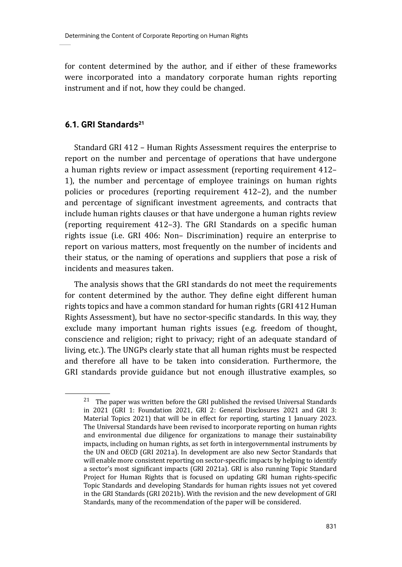for content determined by the author, and if either of these frameworks were incorporated into a mandatory corporate human rights reporting instrument and if not, how they could be changed.

### **6.1. GRI Standards21**

Standard GRI 412 – Human Rights Assessment requires the enterprise to report on the number and percentage of operations that have undergone a human rights review or impact assessment (reporting requirement 412– 1), the number and percentage of employee trainings on human rights policies or procedures (reporting requirement 412–2), and the number and percentage of significant investment agreements, and contracts that include human rights clauses or that have undergone a human rights review (reporting requirement 412–3). The GRI Standards on a specific human rights issue (i.e. GRI 406: Non– Discrimination) require an enterprise to report on various matters, most frequently on the number of incidents and their status, or the naming of operations and suppliers that pose a risk of incidents and measures taken.

The analysis shows that the GRI standards do not meet the requirements for content determined by the author. They define eight different human rights topics and have a common standard for human rights (GRI 412 Human Rights Assessment), but have no sector-specific standards. In this way, they exclude many important human rights issues (e.g. freedom of thought, conscience and religion; right to privacy; right of an adequate standard of living, etc.). The UNGPs clearly state that all human rights must be respected and therefore all have to be taken into consideration. Furthermore, the GRI standards provide guidance but not enough illustrative examples, so

 $^{21}\,$  The paper was written before the GRI published the revised Universal Standards in 2021 (GRI 1: Foundation 2021, GRI 2: General Disclosures 2021 and GRI 3: Material Topics 2021) that will be in effect for reporting, starting 1 January 2023. The Universal Standards have been revised to incorporate reporting on human rights and environmental due diligence for organizations to manage their sustainability impacts, including on human rights, as set forth in intergovernmental instruments by the UN and OECD (GRI 2021a). In development are also new Sector Standards that will enable more consistent reporting on sector-specific impacts by helping to identify a sector's most significant impacts (GRI 2021a). GRI is also running Topic Standard Project for Human Rights that is focused on updating GRI human rights-specific Topic Standards and developing Standards for human rights issues not yet covered in the GRI Standards (GRI 2021b). With the revision and the new development of GRI Standards, many of the recommendation of the paper will be considered.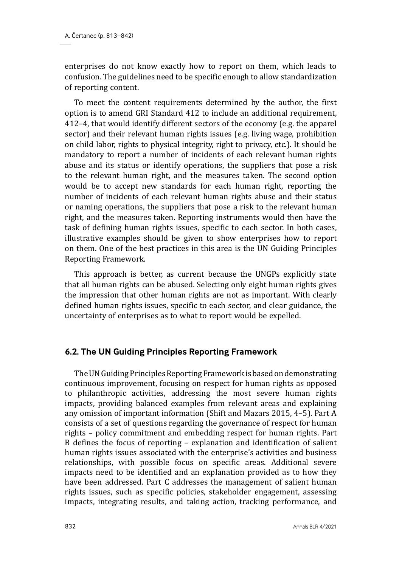enterprises do not know exactly how to report on them, which leads to confusion. The guidelines need to be specific enough to allow standardization of reporting content.

To meet the content requirements determined by the author, the first option is to amend GRI Standard 412 to include an additional requirement, 412–4, that would identify different sectors of the economy (e.g. the apparel sector) and their relevant human rights issues (e.g. living wage, prohibition on child labor, rights to physical integrity, right to privacy, etc.). It should be mandatory to report a number of incidents of each relevant human rights abuse and its status or identify operations, the suppliers that pose a risk to the relevant human right, and the measures taken. The second option would be to accept new standards for each human right, reporting the number of incidents of each relevant human rights abuse and their status or naming operations, the suppliers that pose a risk to the relevant human right, and the measures taken. Reporting instruments would then have the task of defining human rights issues, specific to each sector. In both cases, illustrative examples should be given to show enterprises how to report on them. One of the best practices in this area is the UN Guiding Principles Reporting Framework.

This approach is better, as current because the UNGPs explicitly state that all human rights can be abused. Selecting only eight human rights gives the impression that other human rights are not as important. With clearly defined human rights issues, specific to each sector, and clear guidance, the uncertainty of enterprises as to what to report would be expelled.

#### **6.2. The UN Guiding Principles Reporting Framework**

The UN Guiding Principles Reporting Framework is based on demonstrating continuous improvement, focusing on respect for human rights as opposed to philanthropic activities, addressing the most severe human rights impacts, providing balanced examples from relevant areas and explaining any omission of important information (Shift and Mazars 2015, 4–5). Part A consists of a set of questions regarding the governance of respect for human rights – policy commitment and embedding respect for human rights. Part B defines the focus of reporting – explanation and identification of salient human rights issues associated with the enterprise's activities and business relationships, with possible focus on specific areas. Additional severe impacts need to be identified and an explanation provided as to how they have been addressed. Part C addresses the management of salient human rights issues, such as specific policies, stakeholder engagement, assessing impacts, integrating results, and taking action, tracking performance, and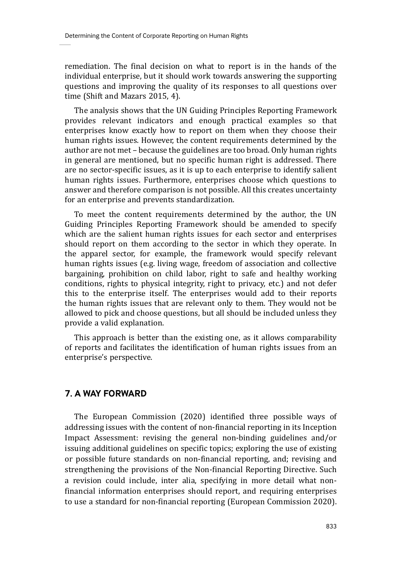remediation. The final decision on what to report is in the hands of the individual enterprise, but it should work towards answering the supporting questions and improving the quality of its responses to all questions over time (Shift and Mazars 2015, 4).

The analysis shows that the UN Guiding Principles Reporting Framework provides relevant indicators and enough practical examples so that enterprises know exactly how to report on them when they choose their human rights issues. However, the content requirements determined by the author are not met – because the guidelines are too broad. Only human rights in general are mentioned, but no specific human right is addressed. There are no sector-specific issues, as it is up to each enterprise to identify salient human rights issues. Furthermore, enterprises choose which questions to answer and therefore comparison is not possible. All this creates uncertainty for an enterprise and prevents standardization.

To meet the content requirements determined by the author, the UN Guiding Principles Reporting Framework should be amended to specify which are the salient human rights issues for each sector and enterprises should report on them according to the sector in which they operate. In the apparel sector, for example, the framework would specify relevant human rights issues (e.g. living wage, freedom of association and collective bargaining, prohibition on child labor, right to safe and healthy working conditions, rights to physical integrity, right to privacy, etc.) and not defer this to the enterprise itself. The enterprises would add to their reports the human rights issues that are relevant only to them. They would not be allowed to pick and choose questions, but all should be included unless they provide a valid explanation.

This approach is better than the existing one, as it allows comparability of reports and facilitates the identification of human rights issues from an enterprise's perspective.

### **7. A WAY FORWARD**

The European Commission (2020) identified three possible ways of addressing issues with the content of non-financial reporting in its Inception Impact Assessment: revising the general non-binding guidelines and/or issuing additional guidelines on specific topics; exploring the use of existing or possible future standards on non-financial reporting, and; revising and strengthening the provisions of the Non-financial Reporting Directive. Such a revision could include, inter alia, specifying in more detail what nonfinancial information enterprises should report, and requiring enterprises to use a standard for non-financial reporting (European Commission 2020).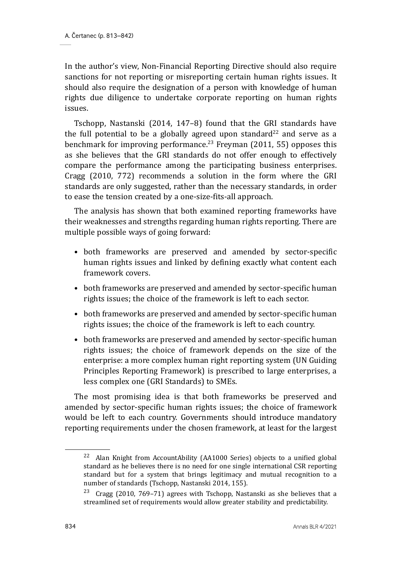In the author's view, Non-Financial Reporting Directive should also require sanctions for not reporting or misreporting certain human rights issues. It should also require the designation of a person with knowledge of human rights due diligence to undertake corporate reporting on human rights issues.

Tschopp, Nastanski (2014, 147–8) found that the GRI standards have the full potential to be a globally agreed upon standard<sup>22</sup> and serve as a benchmark for improving performance.<sup>23</sup> Freyman (2011, 55) opposes this as she believes that the GRI standards do not offer enough to effectively compare the performance among the participating business enterprises. Cragg (2010, 772) recommends a solution in the form where the GRI standards are only suggested, rather than the necessary standards, in order to ease the tension created by a one-size-fits-all approach.

The analysis has shown that both examined reporting frameworks have their weaknesses and strengths regarding human rights reporting. There are multiple possible ways of going forward:

- both frameworks are preserved and amended by sector-specific human rights issues and linked by defining exactly what content each framework covers.
- both frameworks are preserved and amended by sector-specific human rights issues; the choice of the framework is left to each sector.
- both frameworks are preserved and amended by sector-specific human rights issues; the choice of the framework is left to each country.
- both frameworks are preserved and amended by sector-specific human rights issues; the choice of framework depends on the size of the enterprise: a more complex human right reporting system (UN Guiding Principles Reporting Framework) is prescribed to large enterprises, a less complex one (GRI Standards) to SMEs.

The most promising idea is that both frameworks be preserved and amended by sector-specific human rights issues; the choice of framework would be left to each country. Governments should introduce mandatory reporting requirements under the chosen framework, at least for the largest

<sup>&</sup>lt;sup>22</sup> Alan Knight from AccountAbility (AA1000 Series) objects to a unified global standard as he believes there is no need for one single international CSR reporting standard but for a system that brings legitimacy and mutual recognition to a number of standards (Tschopp, Nastanski 2014, 155).

<sup>&</sup>lt;sup>23</sup> Cragg (2010, 769–71) agrees with Tschopp, Nastanski as she believes that a streamlined set of requirements would allow greater stability and predictability.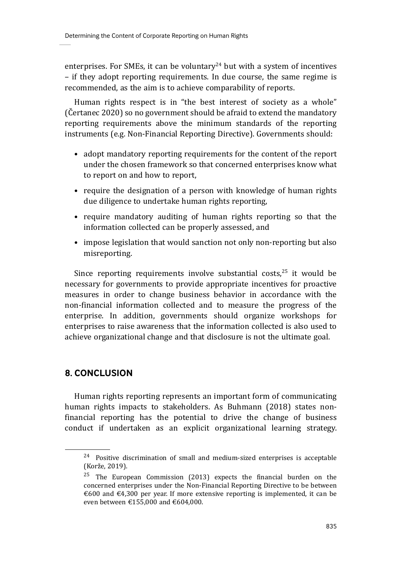enterprises. For SMEs, it can be voluntary<sup>24</sup> but with a system of incentives – if they adopt reporting requirements. In due course, the same regime is recommended, as the aim is to achieve comparability of reports.

Human rights respect is in "the best interest of society as a whole" (Čertanec 2020) so no government should be afraid to extend the mandatory reporting requirements above the minimum standards of the reporting instruments (e.g. Non-Financial Reporting Directive). Governments should:

- adopt mandatory reporting requirements for the content of the report under the chosen framework so that concerned enterprises know what to report on and how to report,
- require the designation of a person with knowledge of human rights due diligence to undertake human rights reporting,
- require mandatory auditing of human rights reporting so that the information collected can be properly assessed, and
- impose legislation that would sanction not only non-reporting but also misreporting.

Since reporting requirements involve substantial costs, $25$  it would be necessary for governments to provide appropriate incentives for proactive measures in order to change business behavior in accordance with the non-financial information collected and to measure the progress of the enterprise. In addition, governments should organize workshops for enterprises to raise awareness that the information collected is also used to achieve organizational change and that disclosure is not the ultimate goal.

## **8. CONCLUSION**

Human rights reporting represents an important form of communicating human rights impacts to stakeholders. As Buhmann (2018) states nonfinancial reporting has the potential to drive the change of business conduct if undertaken as an explicit organizational learning strategy.

 $24$  Positive discrimination of small and medium-sized enterprises is acceptable (Korže, 2019).

 $25$  The European Commission (2013) expects the financial burden on the concerned enterprises under the Non-Financial Reporting Directive to be between €600 and €4,300 per year. If more extensive reporting is implemented, it can be even between €155,000 and €604,000.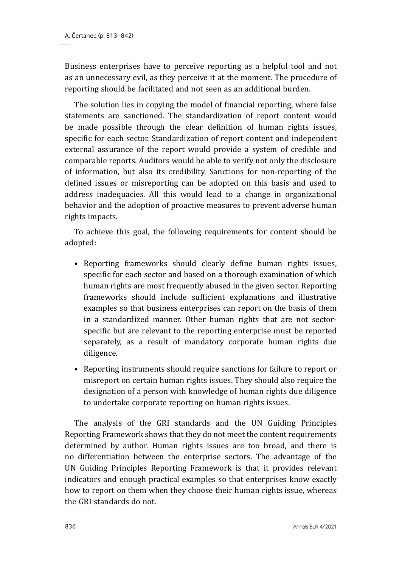Business enterprises have to perceive reporting as a helpful tool and not as an unnecessary evil, as they perceive it at the moment. The procedure of reporting should be facilitated and not seen as an additional burden.

The solution lies in copying the model of financial reporting, where false statements are sanctioned. The standardization of report content would be made possible through the clear definition of human rights issues, specific for each sector. Standardization of report content and independent external assurance of the report would provide a system of credible and comparable reports. Auditors would be able to verify not only the disclosure of information, but also its credibility. Sanctions for non-reporting of the defined issues or misreporting can be adopted on this basis and used to address inadequacies. All this would lead to a change in organizational behavior and the adoption of proactive measures to prevent adverse human rights impacts.

To achieve this goal, the following requirements for content should be adopted:

- Reporting frameworks should clearly define human rights issues, specific for each sector and based on a thorough examination of which human rights are most frequently abused in the given sector. Reporting frameworks should include sufficient explanations and illustrative examples so that business enterprises can report on the basis of them in a standardized manner. Other human rights that are not sectorspecific but are relevant to the reporting enterprise must be reported separately, as a result of mandatory corporate human rights due diligence.
- Reporting instruments should require sanctions for failure to report or misreport on certain human rights issues. They should also require the designation of a person with knowledge of human rights due diligence to undertake corporate reporting on human rights issues.

The analysis of the GRI standards and the UN Guiding Principles Reporting Framework shows that they do not meet the content requirements determined by author. Human rights issues are too broad, and there is no differentiation between the enterprise sectors. The advantage of the UN Guiding Principles Reporting Framework is that it provides relevant indicators and enough practical examples so that enterprises know exactly how to report on them when they choose their human rights issue, whereas the GRI standards do not.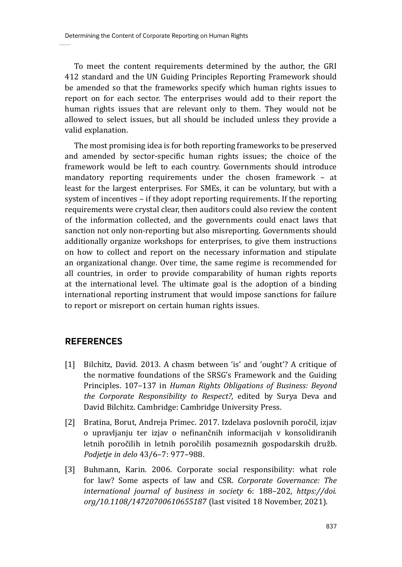To meet the content requirements determined by the author, the GRI 412 standard and the UN Guiding Principles Reporting Framework should be amended so that the frameworks specify which human rights issues to report on for each sector. The enterprises would add to their report the human rights issues that are relevant only to them. They would not be allowed to select issues, but all should be included unless they provide a valid explanation.

The most promising idea is for both reporting frameworks to be preserved and amended by sector-specific human rights issues; the choice of the framework would be left to each country. Governments should introduce mandatory reporting requirements under the chosen framework – at least for the largest enterprises. For SMEs, it can be voluntary, but with a system of incentives – if they adopt reporting requirements. If the reporting requirements were crystal clear, then auditors could also review the content of the information collected, and the governments could enact laws that sanction not only non-reporting but also misreporting. Governments should additionally organize workshops for enterprises, to give them instructions on how to collect and report on the necessary information and stipulate an organizational change. Over time, the same regime is recommended for all countries, in order to provide comparability of human rights reports at the international level. The ultimate goal is the adoption of a binding international reporting instrument that would impose sanctions for failure to report or misreport on certain human rights issues.

### **REFERENCES**

- [1] Bilchitz, David. 2013. A chasm between 'is' and 'ought'? A critique of the normative foundations of the SRSG's Framework and the Guiding Principles. 107–137 in *Human Rights Obligations of Business: Beyond the Corporate Responsibility to Respect?*, edited by Surya Deva and David Bilchitz. Cambridge: Cambridge University Press.
- [2] Bratina, Borut, Andreja Primec. 2017. Izdelava poslovnih poročil, izjav o upravljanju ter izjav o nefinančnih informacijah v konsolidiranih letnih poročilih in letnih poročilih posameznih gospodarskih družb. *Podjetje in delo* 43/6–7: 977–988.
- [3] Buhmann, Karin. 2006. Corporate social responsibility: what role for law? Some aspects of law and CSR. *Corporate Governance: The international journal of business in society* 6: 188–202, *https://doi. org/10.1108/14720700610655187* (last visited 18 November, 2021)*.*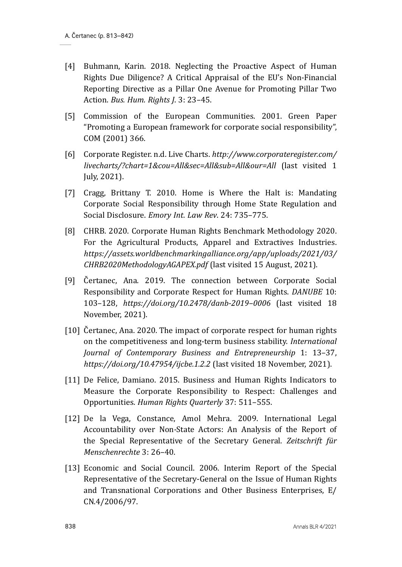- [4] Buhmann, Karin. 2018. Neglecting the Proactive Aspect of Human Rights Due Diligence? A Critical Appraisal of the EU's Non-Financial Reporting Directive as a Pillar One Avenue for Promoting Pillar Two Action. *Bus. Hum. Rights J*. 3: 23–45.
- [5] Commission of the European Communities. 2001. Green Paper "Promoting a European framework for corporate social responsibility", COM (2001) 366.
- [6] Corporate Register. n.d. Live Charts. *http://www.corporateregister.com/ livecharts/?chart=1&cou=All&sec=All&sub=All&our=All* (last visited 1 July, 2021).
- [7] Cragg, Brittany T. 2010. Home is Where the Halt is: Mandating Corporate Social Responsibility through Home State Regulation and Social Disclosure. *Emory Int. Law Rev*. 24: 735–775.
- [8] CHRB. 2020. Corporate Human Rights Benchmark Methodology 2020. For the Agricultural Products, Apparel and Extractives Industries. *https://assets.worldbenchmarkingalliance.org/app/uploads/2021/03/ CHRB2020MethodologyAGAPEX.pdf* (last visited 15 August, 2021).
- [9] Čertanec, Ana. 2019. The connection between Corporate Social Responsibility and Corporate Respect for Human Rights. *DANUBE* 10: 103–128, *https://doi.org/10.2478/danb-2019–0006* (last visited 18 November, 2021).
- [10] Čertanec, Ana. 2020. The impact of corporate respect for human rights on the competitiveness and long-term business stability. *International Journal of Contemporary Business and Entrepreneurship* 1: 13–37, *https://doi.org/10.47954/ijcbe.1.2.2* (last visited 18 November, 2021).
- [11] De Felice, Damiano. 2015. Business and Human Rights Indicators to Measure the Corporate Responsibility to Respect: Challenges and Opportunities. *Human Rights Quarterly* 37: 511–555.
- [12] De la Vega, Constance, Amol Mehra. 2009. International Legal Accountability over Non-State Actors: An Analysis of the Report of the Special Representative of the Secretary General. *Zeitschrift für Menschenrechte* 3: 26–40.
- [13] Economic and Social Council. 2006. Interim Report of the Special Representative of the Secretary-General on the Issue of Human Rights and Transnational Corporations and Other Business Enterprises, E/ CN.4/2006/97.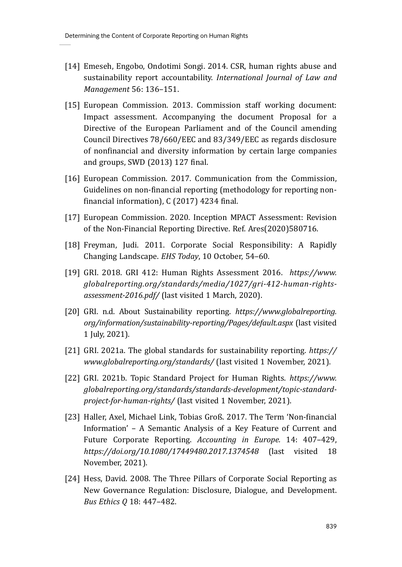- [14] Emeseh, Engobo, Ondotimi Songi. 2014. CSR, human rights abuse and sustainability report accountability. *International Journal of Law and Management* 56: 136–151.
- [15] European Commission. 2013. Commission staff working document: Impact assessment. Accompanying the document Proposal for a Directive of the European Parliament and of the Council amending Council Directives 78/660/EEC and 83/349/EEC as regards disclosure of nonfinancial and diversity information by certain large companies and groups, SWD (2013) 127 final.
- [16] European Commission. 2017. Communication from the Commission, Guidelines on non-financial reporting (methodology for reporting nonfinancial information), C (2017) 4234 final.
- [17] European Commission. 2020. Inception MPACT Assessment: Revision of the Non-Financial Reporting Directive. Ref. Ares(2020)580716.
- [18] Freyman, Judi. 2011. Corporate Social Responsibility: A Rapidly Changing Landscape. *EHS Today*, 10 October, 54–60.
- [19] GRI. 2018. GRI 412: Human Rights Assessment 2016. *https://www. globalreporting.org/standards/media/1027/gri-412-human-rightsassessment-2016.pdf/* (last visited 1 March, 2020).
- [20] GRI. n.d. About Sustainability reporting. *https://www.globalreporting. org/information/sustainability-reporting/Pages/default.aspx* (last visited 1 July, 2021).
- [21] GRI. 2021a. The global standards for sustainability reporting. *https:// www.globalreporting.org/standards/* (last visited 1 November, 2021).
- [22] GRI. 2021b. Topic Standard Project for Human Rights. *https://www. globalreporting.org/standards/standards-development/topic-standardproject-for-human-rights/* (last visited 1 November, 2021).
- [23] Haller, Axel, Michael Link, Tobias Groß. 2017. The Term 'Non-financial Information' – A Semantic Analysis of a Key Feature of Current and Future Corporate Reporting. *Accounting in Europe.* 14: 407–429, *https://doi.org/10.1080/17449480.2017.1374548* (last visited 18 November, 2021).
- [24] Hess, David. 2008. The Three Pillars of Corporate Social Reporting as New Governance Regulation: Disclosure, Dialogue, and Development. *Bus Ethics Q* 18: 447–482.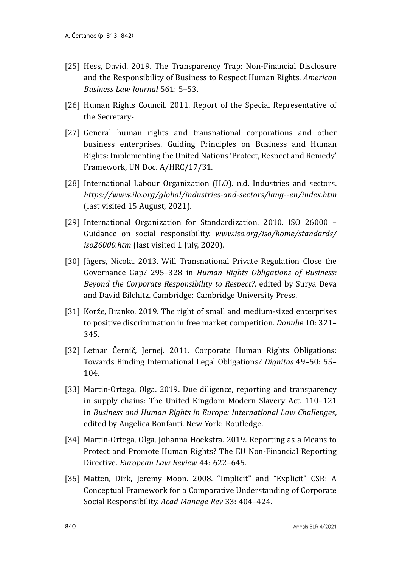- [25] Hess, David. 2019. The Transparency Trap: Non-Financial Disclosure and the Responsibility of Business to Respect Human Rights. *American Business Law Journal* 561: 5–53.
- [26] Human Rights Council. 2011. Report of the Special Representative of the Secretary-
- [27] General human rights and transnational corporations and other business enterprises. Guiding Principles on Business and Human Rights: Implementing the United Nations 'Protect, Respect and Remedy' Framework, UN Doc. A/HRC/17/31.
- [28] International Labour Organization (ILO). n.d. Industries and sectors. *https://www.ilo.org/global/industries-and-sectors/lang--en/index.htm* (last visited 15 August, 2021).
- [29] International Organization for Standardization. 2010. ISO 26000 Guidance on social responsibility. *www.iso.org/iso/home/standards/ iso26000.htm* (last visited 1 July, 2020).
- [30] Jägers, Nicola. 2013. Will Transnational Private Regulation Close the Governance Gap? 295–328 in *Human Rights Obligations of Business: Beyond the Corporate Responsibility to Respect?*, edited by Surya Deva and David Bilchitz. Cambridge: Cambridge University Press.
- [31] Korže, Branko. 2019. The right of small and medium-sized enterprises to positive discrimination in free market competition. *Danube* 10: 321– 345.
- [32] Letnar Černič, Jernej. 2011. Corporate Human Rights Obligations: Towards Binding International Legal Obligations? *Dignitas* 49–50: 55– 104.
- [33] Martin-Ortega, Olga. 2019. Due diligence, reporting and transparency in supply chains: The United Kingdom Modern Slavery Act. 110–121 in *Business and Human Rights in Europe: International Law Challenges*, edited by Angelica Bonfanti. New York: Routledge.
- [34] Martin-Ortega, Olga, Johanna Hoekstra. 2019. Reporting as a Means to Protect and Promote Human Rights? The EU Non-Financial Reporting Directive. *European Law Review* 44: 622–645.
- [35] Matten, Dirk, Jeremy Moon. 2008. "Implicit" and "Explicit" CSR: A Conceptual Framework for a Comparative Understanding of Corporate Social Responsibility. *Acad Manage Rev* 33: 404–424.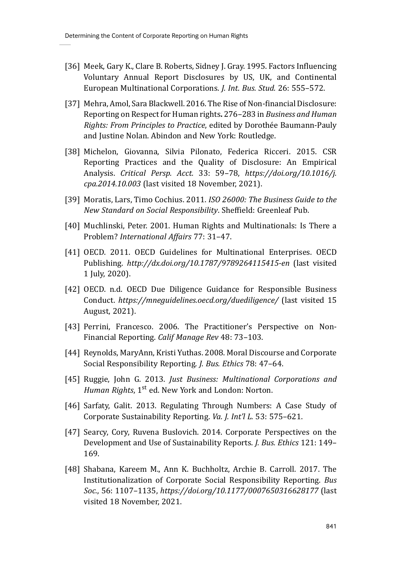- [36] Meek, Gary K., Clare B. Roberts, Sidney J. Gray. 1995. Factors Influencing Voluntary Annual Report Disclosures by US, UK, and Continental European Multinational Corporations. *J. Int. Bus. Stud.* 26: 555–572.
- [37] Mehra, Amol, Sara Blackwell. 2016. The Rise of Non-financial Disclosure: Reporting on Respect for Human rights**.** 276–283 in *Business and Human Rights: From Principles to Practice*, edited by Dorothée Baumann-Pauly and Justine Nolan. Abindon and New York: Routledge.
- [38] Michelon, Giovanna, Silvia Pilonato, Federica Ricceri. 2015. CSR Reporting Practices and the Quality of Disclosure: An Empirical Analysis. *Critical Persp. Acct.* 33: 59–78, *https://doi.org/10.1016/j. cpa.2014.10.003* (last visited 18 November, 2021).
- [39] Moratis, Lars, Timo Cochius. 2011. *ISO 26000: The Business Guide to the New Standard on Social Responsibility*. Sheffield: Greenleaf Pub.
- [40] Muchlinski, Peter. 2001. Human Rights and Multinationals: Is There a Problem? *International Affairs* 77: 31–47.
- [41] OECD. 2011. OECD Guidelines for Multinational Enterprises. OECD Publishing. *http://dx.doi.org/10.1787/9789264115415-en* (last visited 1 July, 2020).
- [42] OECD. n.d. OECD Due Diligence Guidance for Responsible Business Conduct. *https://mneguidelines.oecd.org/duediligence/* (last visited 15 August, 2021).
- [43] Perrini, Francesco. 2006. The Practitioner's Perspective on Non-Financial Reporting. *Calif Manage Rev* 48: 73–103.
- [44] Reynolds, MaryAnn, Kristi Yuthas. 2008. Moral Discourse and Corporate Social Responsibility Reporting. *J. Bus. Ethics* 78: 47–64.
- [45] Ruggie, John G. 2013. *Just Business: Multinational Corporations and Human Rights*, 1<sup>st</sup> ed. New York and London: Norton.
- [46] Sarfaty, Galit. 2013. Regulating Through Numbers: A Case Study of Corporate Sustainability Reporting. *Va. J. Int'l L.* 53: 575–621.
- [47] Searcy, Cory, Ruvena Buslovich. 2014. Corporate Perspectives on the Development and Use of Sustainability Reports. *J. Bus. Ethics* 121: 149– 169.
- [48] Shabana, Kareem M., Ann K. Buchholtz, Archie B. Carroll. 2017. The Institutionalization of Corporate Social Responsibility Reporting. *Bus Soc.*, 56: 1107–1135, *https://doi.org/10.1177/0007650316628177* (last visited 18 November, 2021.